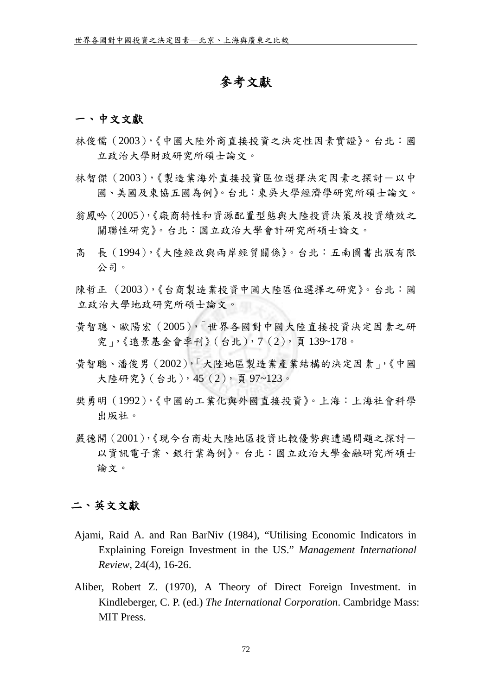## 參考文獻

## 一、中文文獻

- 林俊儒(2003),《中國大陸外商直接投資之決定性因素實證》。台北:國 立政治大學財政研究所碩士論文。
- 林智傑 (2003),《製浩業海外直接投資區位選擇決定因素之探討一以中 國、美國及東協五國為例》。台北:東吳大學經濟學研究所碩士論文。
- 翁鳳吟(2005),《廠商特性和資源配置型態與大陸投資決策及投資績效之 關聯性研究》。台北:國立政治大學會計研究所碩士論文。
- 高 長(1994),《大陸經改與兩岸經貿關係》。台北:五南圖書出版有限 公司。
- [陳哲正](http://thesis.lib.nccu.edu.tw/cgi-bin/gs31/gsweb.cgi?ccd=.bdR2C&o=s%B3%AF%AD%F5%A5%BF.auc) (2003),《台商製造業投資中國大陸區位選擇之研究》。台北:國 立政治大學地政研究所碩士論文。
- 黃智聰、歐陽宏(2005),「世界各國對中國大陸直接投資決定因素之研 究」,《遠景基金會季刊》(台北),7(2),頁 139~178。
- 黃智聰、潘俊男(2002),「大陸地區製造業產業結構的決定因素」,《中國 大陸研究》(台北),45(2),頁 97~123。
- 樊勇明(1992),《中國的工業化與外國直接投資》。上海:上海社會科學 出版社。
- 嚴德開(2001),《現今台商赴大陸地區投資比較優勢與遭遇問題之探討- 以資訊電子業、銀行業為例》。台北:國立政治大學金融研究所碩士 論文。

## 二、英文文獻

- Ajami, Raid A. and Ran BarNiv (1984), "Utilising Economic Indicators in Explaining Foreign Investment in the US." *Management International Review*, 24(4), 16-26.
- Aliber, Robert Z. (1970), A Theory of Direct Foreign Investment. in Kindleberger, C. P. (ed.) *The International Corporation*. Cambridge Mass: MIT Press.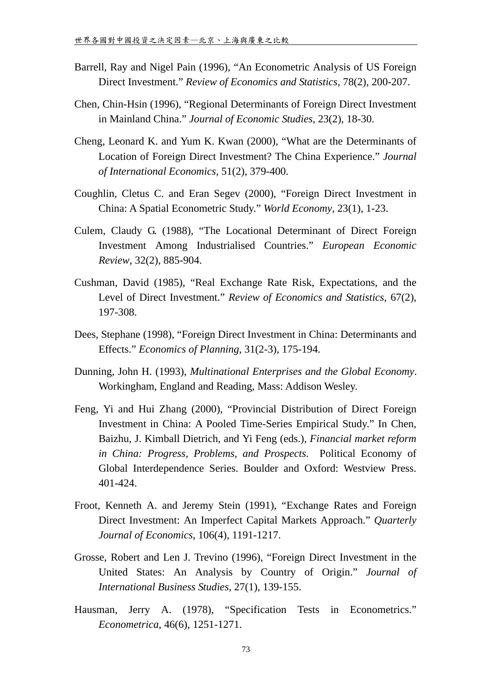- Barrell, Ray and Nigel Pain (1996), "An Econometric Analysis of US Foreign Direct Investment." *Review of Economics and Statistics,* 78(2), 200-207.
- Chen, Chin-Hsin (1996), "Regional Determinants of Foreign Direct Investment in Mainland China." *Journal of Economic Studies*, 23(2), 18-30.
- Cheng, Leonard K. and Yum K. Kwan (2000), "What are the Determinants of Location of Foreign Direct Investment? The China Experience." *Journal of International Economics,* 51(2), 379-400.
- Coughlin, Cletus C. and Eran Segev (2000), "Foreign Direct Investment in China: A Spatial Econometric Study." *World Economy*, 23(1), 1-23.
- Culem, Claudy G. (1988), "The Locational Determinant of Direct Foreign Investment Among Industrialised Countries." *European Economic Review*, 32(2), 885-904.
- Cushman, David (1985), "Real Exchange Rate Risk, Expectations, and the Level of Direct Investment." *Review of Economics and Statistics*, 67(2), 197-308.
- Dees, Stephane (1998), "Foreign Direct Investment in China: Determinants and Effects." *Economics of Planning*, 31(2-3), 175-194.
- Dunning, John H. (1993), *Multinational Enterprises and the Global Economy*. Workingham, England and Reading, Mass: Addison Wesley.
- Feng, Yi and Hui Zhang (2000), "Provincial Distribution of Direct Foreign Investment in China: A Pooled Time-Series Empirical Study." In Chen, Baizhu, J. Kimball Dietrich, and Yi Feng (eds.), *Financial market reform in China: Progress, Problems, and Prospects*. Political Economy of Global Interdependence Series. Boulder and Oxford: Westview Press. 401-424.
- Froot, Kenneth A. and Jeremy Stein (1991), "Exchange Rates and Foreign Direct Investment: An Imperfect Capital Markets Approach." *Quarterly Journal of Economics*, 106(4), 1191-1217.
- Grosse, Robert and Len J. Trevino (1996), "Foreign Direct Investment in the United States: An Analysis by Country of Origin." *Journal of International Business Studies*, 27(1), 139-155.
- Hausman, Jerry A. (1978), "Specification Tests in Econometrics." *Econometrica*, 46(6), 1251-1271.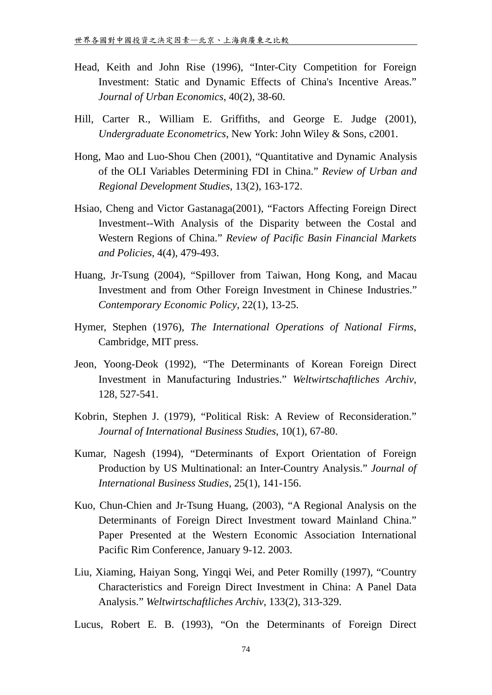- Head, Keith and John Rise (1996), "Inter-City Competition for Foreign Investment: Static and Dynamic Effects of China's Incentive Areas." *Journal of Urban Economics*, 40(2), 38-60.
- Hill, Carter R., William E. Griffiths, and George E. Judge (2001), *Undergraduate Econometrics*, New York: John Wiley & Sons, c2001.
- Hong, Mao and Luo-Shou Chen (2001), "Quantitative and Dynamic Analysis of the OLI Variables Determining FDI in China." *Review of Urban and Regional Development Studies*, 13(2), 163-172.
- Hsiao, Cheng and Victor Gastanaga(2001), "Factors Affecting Foreign Direct Investment--With Analysis of the Disparity between the Costal and Western Regions of China." *Review of Pacific Basin Financial Markets and Policies*, 4(4), 479-493.
- Huang, Jr-Tsung (2004), "Spillover from Taiwan, Hong Kong, and Macau Investment and from Other Foreign Investment in Chinese Industries." *Contemporary Economic Policy*, 22(1), 13-25.
- Hymer, Stephen (1976), *The International Operations of National Firms*, Cambridge, MIT press.
- Jeon, Yoong-Deok (1992), "The Determinants of Korean Foreign Direct Investment in Manufacturing Industries." *Weltwirtschaftliches Archiv*, 128, 527-541.
- Kobrin, Stephen J. (1979), "Political Risk: A Review of Reconsideration." *Journal of International Business Studies*, 10(1), 67-80.
- Kumar, Nagesh (1994), "Determinants of Export Orientation of Foreign Production by US Multinational: an Inter-Country Analysis." *Journal of International Business Studies*, 25(1), 141-156.
- Kuo, Chun-Chien and Jr-Tsung Huang, (2003), "A Regional Analysis on the Determinants of Foreign Direct Investment toward Mainland China." Paper Presented at the Western Economic Association International Pacific Rim Conference, January 9-12. 2003.
- Liu, Xiaming, Haiyan Song, Yingqi Wei, and Peter Romilly (1997), "Country Characteristics and Foreign Direct Investment in China: A Panel Data Analysis." *Weltwirtschaftliches Archiv*, 133(2), 313-329.

Lucus, Robert E. B. (1993), "On the Determinants of Foreign Direct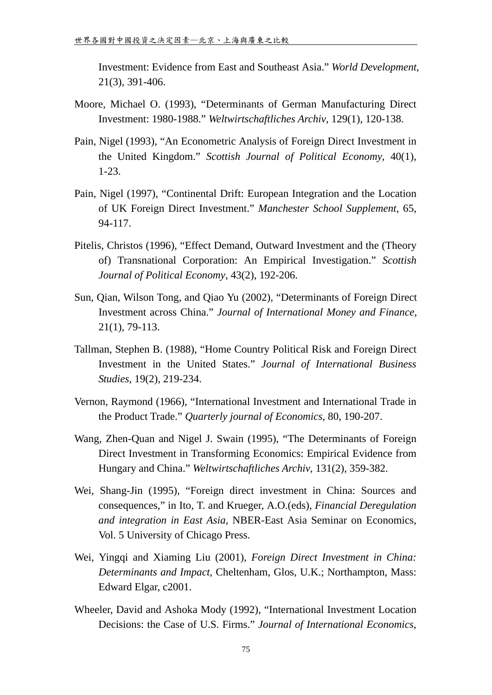Investment: Evidence from East and Southeast Asia." *World Development*, 21(3), 391-406.

- Moore, Michael O. (1993), "Determinants of German Manufacturing Direct Investment: 1980-1988." *Weltwirtschaftliches Archiv*, 129(1), 120-138.
- Pain, Nigel (1993), "An Econometric Analysis of Foreign Direct Investment in the United Kingdom." *Scottish Journal of Political Economy*, 40(1), 1-23.
- Pain, Nigel (1997), "Continental Drift: European Integration and the Location of UK Foreign Direct Investment." *Manchester School Supplement*, 65, 94-117.
- Pitelis, Christos (1996), "Effect Demand, Outward Investment and the (Theory of) Transnational Corporation: An Empirical Investigation." *Scottish Journal of Political Economy*, 43(2), 192-206.
- Sun, Qian, Wilson Tong, and Qiao Yu (2002), "Determinants of Foreign Direct Investment across China." *Journal of International Money and Finance*, 21(1), 79-113.
- Tallman, Stephen B. (1988), "Home Country Political Risk and Foreign Direct Investment in the United States." *Journal of International Business Studies*, 19(2), 219-234.
- Vernon, Raymond (1966), "International Investment and International Trade in the Product Trade." *Quarterly journal of Economics*, 80, 190-207.
- Wang, Zhen-Quan and Nigel J. Swain (1995), "The Determinants of Foreign Direct Investment in Transforming Economics: Empirical Evidence from Hungary and China." *Weltwirtschaftliches Archiv*, 131(2), 359-382.
- Wei, Shang-Jin (1995), "Foreign direct investment in China: Sources and consequences," in Ito, T. and Krueger, A.O.(eds), *Financial Deregulation and integration in East Asia,* NBER-East Asia Seminar on Economics, Vol. 5 University of Chicago Press.
- Wei, Yingqi and Xiaming Liu (2001), *Foreign Direct Investment in China: Determinants and Impact*, Cheltenham, Glos, U.K.; Northampton, Mass: Edward Elgar, c2001.
- Wheeler, David and Ashoka Mody (1992), "International Investment Location Decisions: the Case of U.S. Firms." *Journal of International Economics*,